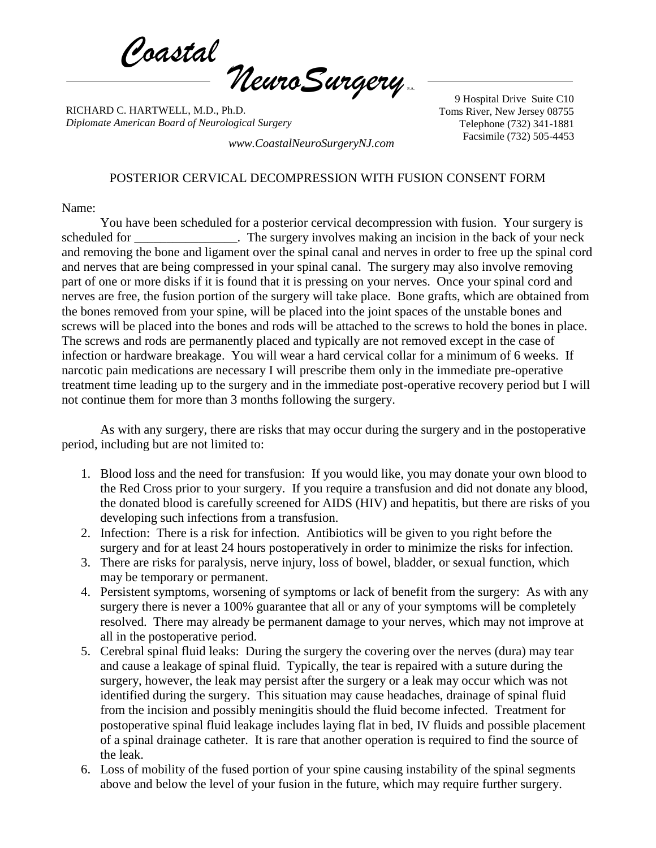*Coastal*  $\eta$ euroSurgery

RICHARD C. HARTWELL, M.D., Ph.D. *Diplomate American Board of Neurological Surgery*

9 Hospital Drive Suite C10 Toms River, New Jersey 08755 Telephone (732) 341-1881 Facsimile (732) 505-4453 *www.CoastalNeuroSurgeryNJ.com*

## POSTERIOR CERVICAL DECOMPRESSION WITH FUSION CONSENT FORM

Name:

You have been scheduled for a posterior cervical decompression with fusion. Your surgery is scheduled for The surgery involves making an incision in the back of your neck and removing the bone and ligament over the spinal canal and nerves in order to free up the spinal cord and nerves that are being compressed in your spinal canal. The surgery may also involve removing part of one or more disks if it is found that it is pressing on your nerves. Once your spinal cord and nerves are free, the fusion portion of the surgery will take place. Bone grafts, which are obtained from the bones removed from your spine, will be placed into the joint spaces of the unstable bones and screws will be placed into the bones and rods will be attached to the screws to hold the bones in place. The screws and rods are permanently placed and typically are not removed except in the case of infection or hardware breakage. You will wear a hard cervical collar for a minimum of 6 weeks. If narcotic pain medications are necessary I will prescribe them only in the immediate pre-operative treatment time leading up to the surgery and in the immediate post-operative recovery period but I will not continue them for more than 3 months following the surgery.

As with any surgery, there are risks that may occur during the surgery and in the postoperative period, including but are not limited to:

- 1. Blood loss and the need for transfusion: If you would like, you may donate your own blood to the Red Cross prior to your surgery. If you require a transfusion and did not donate any blood, the donated blood is carefully screened for AIDS (HIV) and hepatitis, but there are risks of you developing such infections from a transfusion.
- 2. Infection: There is a risk for infection. Antibiotics will be given to you right before the surgery and for at least 24 hours postoperatively in order to minimize the risks for infection.
- 3. There are risks for paralysis, nerve injury, loss of bowel, bladder, or sexual function, which may be temporary or permanent.
- 4. Persistent symptoms, worsening of symptoms or lack of benefit from the surgery: As with any surgery there is never a 100% guarantee that all or any of your symptoms will be completely resolved. There may already be permanent damage to your nerves, which may not improve at all in the postoperative period.
- 5. Cerebral spinal fluid leaks: During the surgery the covering over the nerves (dura) may tear and cause a leakage of spinal fluid. Typically, the tear is repaired with a suture during the surgery, however, the leak may persist after the surgery or a leak may occur which was not identified during the surgery. This situation may cause headaches, drainage of spinal fluid from the incision and possibly meningitis should the fluid become infected. Treatment for postoperative spinal fluid leakage includes laying flat in bed, IV fluids and possible placement of a spinal drainage catheter. It is rare that another operation is required to find the source of the leak.
- 6. Loss of mobility of the fused portion of your spine causing instability of the spinal segments above and below the level of your fusion in the future, which may require further surgery.